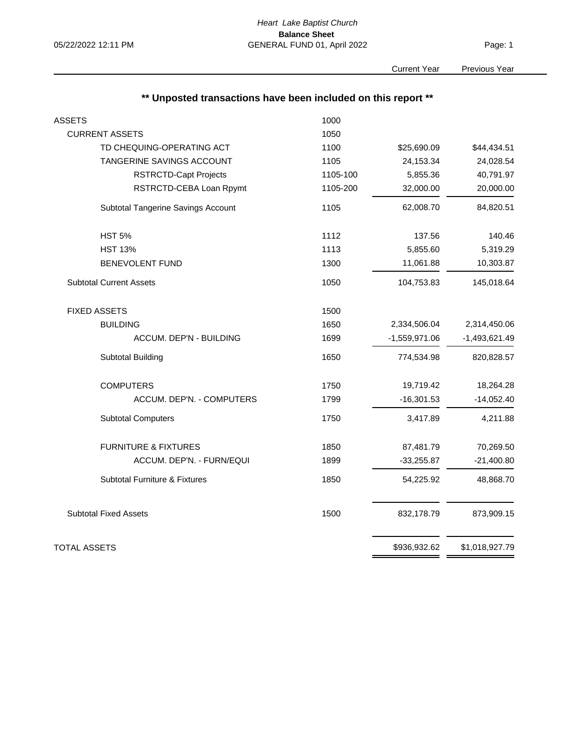Page: 1

Current Year Previous Year

| ** Unposted transactions have been included on this report ** |          |                 |                 |
|---------------------------------------------------------------|----------|-----------------|-----------------|
| <b>ASSETS</b>                                                 | 1000     |                 |                 |
| <b>CURRENT ASSETS</b>                                         | 1050     |                 |                 |
| TD CHEQUING-OPERATING ACT                                     | 1100     | \$25,690.09     | \$44,434.51     |
| TANGERINE SAVINGS ACCOUNT                                     | 1105     | 24,153.34       | 24,028.54       |
| <b>RSTRCTD-Capt Projects</b>                                  | 1105-100 | 5,855.36        | 40,791.97       |
| RSTRCTD-CEBA Loan Rpymt                                       | 1105-200 | 32,000.00       | 20,000.00       |
| Subtotal Tangerine Savings Account                            | 1105     | 62,008.70       | 84,820.51       |
| <b>HST 5%</b>                                                 | 1112     | 137.56          | 140.46          |
| <b>HST 13%</b>                                                | 1113     | 5,855.60        | 5,319.29        |
| <b>BENEVOLENT FUND</b>                                        | 1300     | 11,061.88       | 10,303.87       |
| <b>Subtotal Current Assets</b>                                | 1050     | 104,753.83      | 145,018.64      |
| <b>FIXED ASSETS</b>                                           | 1500     |                 |                 |
| <b>BUILDING</b>                                               | 1650     | 2,334,506.04    | 2,314,450.06    |
| ACCUM. DEP'N - BUILDING                                       | 1699     | $-1,559,971.06$ | $-1,493,621.49$ |
| <b>Subtotal Building</b>                                      | 1650     | 774,534.98      | 820,828.57      |
| <b>COMPUTERS</b>                                              | 1750     | 19,719.42       | 18,264.28       |
| ACCUM. DEP'N. - COMPUTERS                                     | 1799     | $-16,301.53$    | $-14,052.40$    |
| <b>Subtotal Computers</b>                                     | 1750     | 3,417.89        | 4,211.88        |
| <b>FURNITURE &amp; FIXTURES</b>                               | 1850     | 87,481.79       | 70,269.50       |
| ACCUM. DEP'N. - FURN/EQUI                                     | 1899     | $-33,255.87$    | $-21,400.80$    |
| Subtotal Furniture & Fixtures                                 | 1850     | 54,225.92       | 48,868.70       |
| <b>Subtotal Fixed Assets</b>                                  | 1500     | 832,178.79      | 873,909.15      |
| TOTAL ASSETS                                                  |          | \$936,932.62    | \$1,018,927.79  |
|                                                               |          |                 |                 |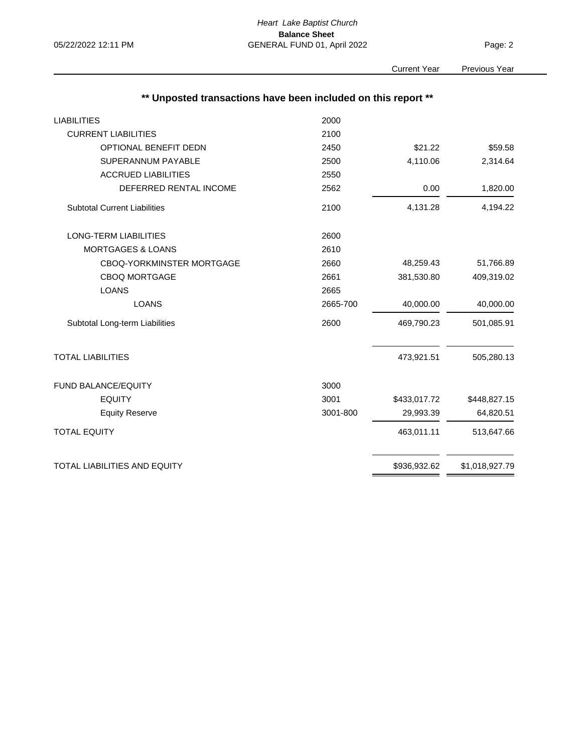Page: 2

Current Year

|  | Previous Year |
|--|---------------|

| ** Unposted transactions have been included on this report ** |          |              |                |
|---------------------------------------------------------------|----------|--------------|----------------|
| <b>LIABILITIES</b>                                            | 2000     |              |                |
| <b>CURRENT LIABILITIES</b>                                    | 2100     |              |                |
| OPTIONAL BENEFIT DEDN                                         | 2450     | \$21.22      | \$59.58        |
| <b>SUPERANNUM PAYABLE</b>                                     | 2500     | 4,110.06     | 2,314.64       |
| <b>ACCRUED LIABILITIES</b>                                    | 2550     |              |                |
| DEFERRED RENTAL INCOME                                        | 2562     | 0.00         | 1,820.00       |
| <b>Subtotal Current Liabilities</b>                           | 2100     | 4,131.28     | 4,194.22       |
| <b>LONG-TERM LIABILITIES</b>                                  | 2600     |              |                |
| <b>MORTGAGES &amp; LOANS</b>                                  | 2610     |              |                |
| CBOQ-YORKMINSTER MORTGAGE                                     | 2660     | 48,259.43    | 51,766.89      |
| <b>CBOQ MORTGAGE</b>                                          | 2661     | 381,530.80   | 409,319.02     |
| <b>LOANS</b>                                                  | 2665     |              |                |
| <b>LOANS</b>                                                  | 2665-700 | 40,000.00    | 40,000.00      |
| Subtotal Long-term Liabilities                                | 2600     | 469,790.23   | 501,085.91     |
| <b>TOTAL LIABILITIES</b>                                      |          | 473,921.51   | 505,280.13     |
| FUND BALANCE/EQUITY                                           | 3000     |              |                |
| <b>EQUITY</b>                                                 | 3001     | \$433,017.72 | \$448,827.15   |
| <b>Equity Reserve</b>                                         | 3001-800 | 29,993.39    | 64,820.51      |
| <b>TOTAL EQUITY</b>                                           |          | 463,011.11   | 513,647.66     |
| TOTAL LIABILITIES AND EQUITY                                  |          | \$936,932.62 | \$1,018,927.79 |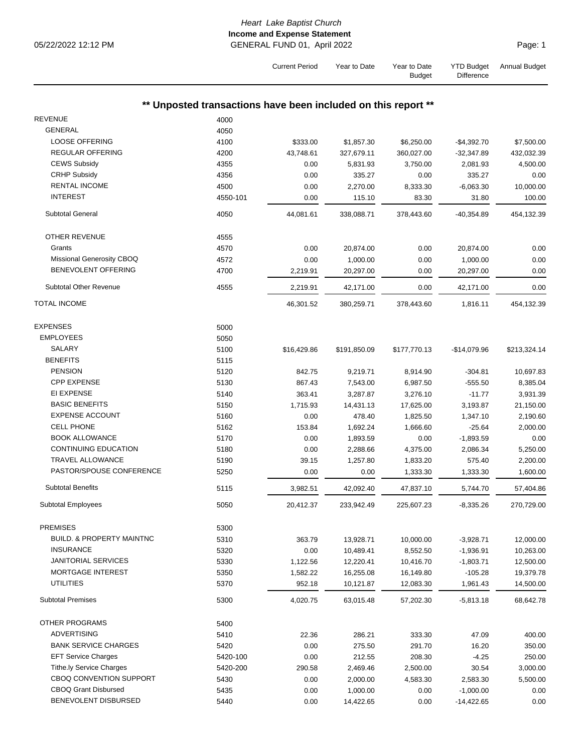## *Heart Lake Baptist Church* **Income and Expense Statement** 05/22/2022 12:12 PM GENERAL FUND 01, April 2022

Current Period Year to Date Year to Date

|                                      |                                                               |             |              | <b>Budget</b> | <b>Difference</b> |              |
|--------------------------------------|---------------------------------------------------------------|-------------|--------------|---------------|-------------------|--------------|
|                                      | ** Unposted transactions have been included on this report ** |             |              |               |                   |              |
| <b>REVENUE</b>                       | 4000                                                          |             |              |               |                   |              |
| <b>GENERAL</b>                       | 4050                                                          |             |              |               |                   |              |
| <b>LOOSE OFFERING</b>                | 4100                                                          | \$333.00    | \$1,857.30   | \$6,250.00    | $-$4,392.70$      | \$7,500.00   |
| <b>REGULAR OFFERING</b>              | 4200                                                          | 43,748.61   | 327,679.11   | 360,027.00    | $-32,347.89$      | 432,032.39   |
| <b>CEWS Subsidy</b>                  |                                                               |             |              |               |                   |              |
| <b>CRHP Subsidy</b>                  | 4355                                                          | 0.00        | 5,831.93     | 3,750.00      | 2,081.93          | 4,500.00     |
|                                      | 4356                                                          | 0.00        | 335.27       | 0.00          | 335.27            | 0.00         |
| <b>RENTAL INCOME</b>                 | 4500                                                          | 0.00        | 2,270.00     | 8,333.30      | $-6,063.30$       | 10,000.00    |
| <b>INTEREST</b>                      | 4550-101                                                      | 0.00        | 115.10       | 83.30         | 31.80             | 100.00       |
| <b>Subtotal General</b>              | 4050                                                          | 44,081.61   | 338,088.71   | 378,443.60    | $-40,354.89$      | 454,132.39   |
| <b>OTHER REVENUE</b>                 | 4555                                                          |             |              |               |                   |              |
| Grants                               | 4570                                                          | 0.00        | 20,874.00    | 0.00          | 20,874.00         | 0.00         |
| Missional Generosity CBOQ            | 4572                                                          | 0.00        | 1,000.00     | 0.00          | 1,000.00          | 0.00         |
| BENEVOLENT OFFERING                  | 4700                                                          | 2,219.91    | 20,297.00    | 0.00          | 20,297.00         | 0.00         |
| <b>Subtotal Other Revenue</b>        | 4555                                                          | 2,219.91    | 42,171.00    | 0.00          | 42,171.00         | 0.00         |
| <b>TOTAL INCOME</b>                  |                                                               | 46,301.52   | 380,259.71   | 378,443.60    | 1,816.11          | 454,132.39   |
| <b>EXPENSES</b>                      | 5000                                                          |             |              |               |                   |              |
| <b>EMPLOYEES</b>                     |                                                               |             |              |               |                   |              |
| SALARY                               | 5050                                                          |             |              |               |                   |              |
| <b>BENEFITS</b>                      | 5100                                                          | \$16,429.86 | \$191,850.09 | \$177,770.13  | $-$14,079.96$     | \$213,324.14 |
|                                      | 5115                                                          |             |              |               |                   |              |
| <b>PENSION</b>                       | 5120                                                          | 842.75      | 9,219.71     | 8,914.90      | $-304.81$         | 10,697.83    |
| <b>CPP EXPENSE</b>                   | 5130                                                          | 867.43      | 7,543.00     | 6,987.50      | $-555.50$         | 8,385.04     |
| EI EXPENSE                           | 5140                                                          | 363.41      | 3,287.87     | 3,276.10      | $-11.77$          | 3,931.39     |
| <b>BASIC BENEFITS</b>                | 5150                                                          | 1,715.93    | 14,431.13    | 17,625.00     | 3,193.87          | 21,150.00    |
| <b>EXPENSE ACCOUNT</b>               | 5160                                                          | 0.00        | 478.40       | 1,825.50      | 1,347.10          | 2,190.60     |
| <b>CELL PHONE</b>                    | 5162                                                          | 153.84      | 1,692.24     | 1,666.60      | $-25.64$          | 2,000.00     |
| <b>BOOK ALLOWANCE</b>                | 5170                                                          | 0.00        | 1,893.59     | 0.00          | $-1,893.59$       | 0.00         |
| <b>CONTINUING EDUCATION</b>          | 5180                                                          | 0.00        | 2,288.66     | 4,375.00      | 2,086.34          | 5,250.00     |
| <b>TRAVEL ALLOWANCE</b>              | 5190                                                          | 39.15       | 1,257.80     | 1,833.20      | 575.40            | 2,200.00     |
| PASTOR/SPOUSE CONFERENCE             | 5250                                                          | 0.00        | 0.00         | 1,333.30      | 1,333.30          | 1,600.00     |
| <b>Subtotal Benefits</b>             | 5115                                                          | 3,982.51    | 42,092.40    | 47,837.10     | 5,744.70          | 57,404.86    |
| Subtotal Employees                   | 5050                                                          | 20,412.37   | 233,942.49   | 225,607.23    | $-8,335.26$       | 270,729.00   |
| <b>PREMISES</b>                      | 5300                                                          |             |              |               |                   |              |
| <b>BUILD. &amp; PROPERTY MAINTNC</b> | 5310                                                          | 363.79      | 13,928.71    | 10,000.00     | $-3,928.71$       | 12,000.00    |
| <b>INSURANCE</b>                     | 5320                                                          | 0.00        | 10,489.41    | 8,552.50      | $-1,936.91$       | 10,263.00    |
| <b>JANITORIAL SERVICES</b>           | 5330                                                          | 1,122.56    | 12,220.41    | 10,416.70     | $-1,803.71$       | 12,500.00    |
| MORTGAGE INTEREST                    | 5350                                                          | 1,582.22    | 16,255.08    | 16,149.80     | $-105.28$         | 19,379.78    |
| <b>UTILITIES</b>                     | 5370                                                          | 952.18      | 10,121.87    | 12,083.30     | 1,961.43          | 14,500.00    |
| <b>Subtotal Premises</b>             | 5300                                                          | 4,020.75    | 63,015.48    | 57,202.30     | $-5,813.18$       | 68,642.78    |
| OTHER PROGRAMS                       | 5400                                                          |             |              |               |                   |              |
| <b>ADVERTISING</b>                   | 5410                                                          | 22.36       | 286.21       | 333.30        | 47.09             | 400.00       |
| <b>BANK SERVICE CHARGES</b>          | 5420                                                          | 0.00        | 275.50       | 291.70        | 16.20             | 350.00       |
| <b>EFT Service Charges</b>           |                                                               |             |              |               |                   |              |
|                                      | 5420-100                                                      | 0.00        | 212.55       | 208.30        | $-4.25$           | 250.00       |
| <b>Tithe.ly Service Charges</b>      | 5420-200                                                      | 290.58      | 2,469.46     | 2,500.00      | 30.54             | 3,000.00     |
| CBOQ CONVENTION SUPPORT              | 5430                                                          | 0.00        | 2,000.00     | 4,583.30      | 2,583.30          | 5,500.00     |
| <b>CBOQ Grant Disbursed</b>          | 5435                                                          | 0.00        | 1,000.00     | 0.00          | $-1,000.00$       | 0.00         |
| BENEVOLENT DISBURSED                 | 5440                                                          | 0.00        | 14,422.65    | 0.00          | $-14,422.65$      | 0.00         |

Annual Budget

YTD Budget